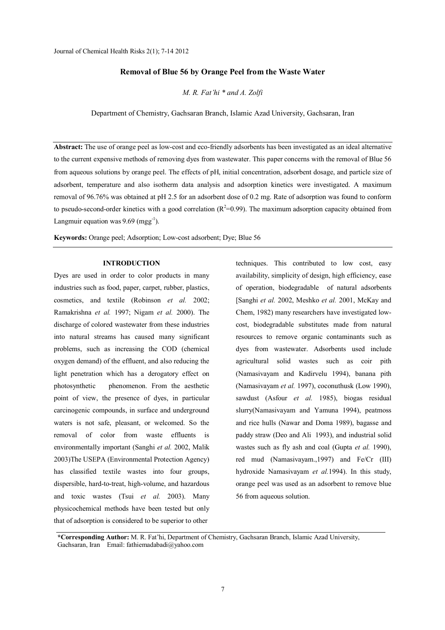# **Removal of Blue 56 by Orange Peel from the Waste Water**

*M. R. Fat'hi \* and A. Zolfi*

Department of Chemistry, Gachsaran Branch, Islamic Azad University, Gachsaran, Iran

**Abstract:** The use of orange peel as low-cost and eco-friendly adsorbents has been investigated as an ideal alternative to the current expensive methods of removing dyes from wastewater. This paper concerns with the removal of Blue 56 from aqueous solutions by orange peel. The effects of pH, initial concentration, adsorbent dosage, and particle size of adsorbent, temperature and also isotherm data analysis and adsorption kinetics were investigated. A maximum removal of 96.76% was obtained at pH 2.5 for an adsorbent dose of 0.2 mg. Rate of adsorption was found to conform to pseudo-second-order kinetics with a good correlation  $(R^2=0.99)$ . The maximum adsorption capacity obtained from Langmuir equation was  $9.69 \, \text{(mgg}^{\text{-}1})$ .

**Keywords:** Orange peel; Adsorption; Low-cost adsorbent; Dye; Blue 56

### **INTRODUCTION**

Dyes are used in order to color products in many industries such as food, paper, carpet, rubber, plastics, cosmetics, and textile (Robinson *et al.* 2002; Ramakrishna *et al.* 1997; Nigam *et al.* 2000). The discharge of colored wastewater from these industries into natural streams has caused many significant problems, such as increasing the COD (chemical oxygen demand) of the effluent, and also reducing the light penetration which has a derogatory effect on photosynthetic phenomenon. From the aesthetic point of view, the presence of dyes, in particular carcinogenic compounds, in surface and underground waters is not safe, pleasant, or welcomed. So the removal of color from waste effluents is environmentally important (Sanghi *et al.* 2002, Malik 2003)The USEPA (Environmental Protection Agency) has classified textile wastes into four groups, dispersible, hard-to-treat, high-volume, and hazardous and toxic wastes (Tsui *et al.* 2003). Many physicochemical methods have been tested but only that of adsorption is considered to be superior to other

techniques. This contributed to low cost, easy availability, simplicity of design, high efficiency, ease of operation, biodegradable of natural adsorbents [Sanghi *et al.* 2002, Meshko *et al.* 2001, McKay and Chem, 1982) many researchers have investigated lowcost, biodegradable substitutes made from natural resources to remove organic contaminants such as dyes from wastewater. Adsorbents used include agricultural solid wastes such as coir pith (Namasivayam and Kadirvelu 1994), banana pith (Namasivayam *et al.* 1997), coconuthusk (Low 1990), sawdust (Asfour *et al.* 1985), biogas residual slurry(Namasivayam and Yamuna 1994), peatmoss and rice hulls (Nawar and Doma 1989), bagasse and paddy straw (Deo and Ali 1993), and industrial solid wastes such as fly ash and coal (Gupta *et al.* 1990), red mud (Namasivayam.,1997) and Fe/Cr (III) hydroxide Namasivayam *et al.*1994). In this study, orange peel was used as an adsorbent to remove blue 56 from aqueous solution.

**\*Corresponding Author:** M. R. Fat'hi, Department of Chemistry, Gachsaran Branch, Islamic Azad University, Gachsaran, Iran Email: fathiemadabadi@yahoo.com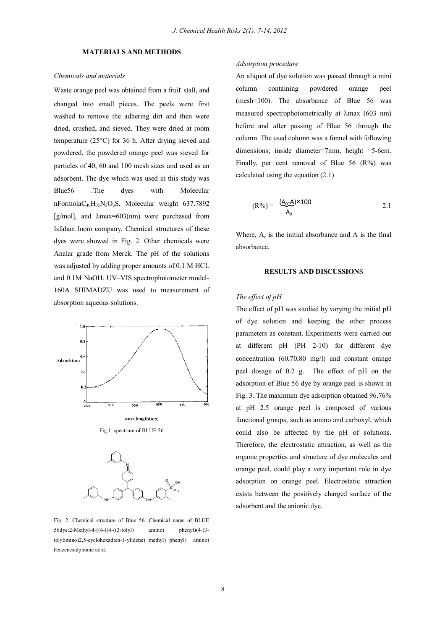### **MATERIALS AND METHODS**

#### *Chemicals and materials*

Waste orange peel was obtained from a fruit stall, and changed into small pieces. The peels were first washed to remove the adhering dirt and then were dried, crushed, and sieved. They were dried at room temperature (25°C) for 36 h. After drying sieved and powdered, the powdered orange peel was sieved for particles of 40, 60 and 100 mesh sizes and used as an adsorbent. The dye which was used in this study was Blue56 .The dyes with Molecular nFormola $C_{40}H_{35}N_3O_3S$ , Molecular weight 637.7892 [g/mol], and  $\lambda$ max=603(nm) were purchased from Isfahan loom company. Chemical structures of these dyes were showed in Fig. 2. Other chemicals were Analar grade from Merck. The pH of the solutions was adjusted by adding proper amounts of 0.1 M HCL and 0.1M NaOH. UV–VIS spectrophotometer model-160A SHIMADZU was used to measurement of absorption aqueous solutions.



Fig.1: spectrum of BLUE 56



Fig. 2. Chemical structure of Blue 56. Chemical name of BLUE 56dye:2-Methyl-4-((4-((4-((3-tolyl) amino) phenyl)(4-(3 tolylimino)2,5-cyclohexadien-1-ylidene) methyl) phenyl) amino) benzenesulphonic acid.

## *Adsorption procedure*

An aliquot of dye solution was passed through a mini column containing powdered orange peel (mesh=100). The absorbance of Blue 56 was measured spectrophotometrically at  $\lambda$ max (603 nm) before and after passing of Blue 56 through the column. The used column was a funnel with following dimensions; inside diameter=7mm, height =5-6cm. Finally, per cent removal of Blue  $56$  ( $\mathbb{R}\%$ ) was calculated using the equation (2.1)

$$
(R\%) = \frac{(\underline{A_0} - \underline{A}) \times 100}{A_0} \tag{2.1}
$$

Where,  $A_0$  is the initial absorbance and A is the final absorbance.

### **RESULTS AND DISCUSSION**S

## *The effect of pH*

The effect of pH was studied by varying the initial pH of dye solution and keeping the other process parameters as constant. Experiments were carried out at different pH (PH 2-10) for different dye concentration  $(60, 70, 80 \text{ mg/l})$  and constant orange peel dosage of 0.2 g. The effect of pH on the adsorption of Blue 56 dye by orange peel is shown in Fig. 3. The maximum dye adsorption obtained 96.76% at pH 2.5 orange peel is composed of various functional groups, such as amino and carboxyl, which could also be affected by the pH of solutions. Therefore, the electrostatic attraction, as well as the organic properties and structure of dye molecules and orange peel, could play a very important role in dye adsorption on orange peel. Electrostatic attraction exists between the positively charged surface of the adsorbent and the anionic dye.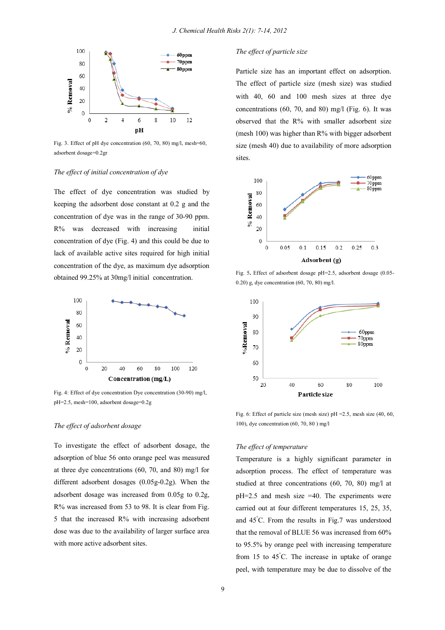

Fig. 3. Effect of pH dye concentration (60, 70, 80) mg/l, mesh=60, adsorbent dosage=0.2gr

## *The effect of initial concentration of dye*

The effect of dye concentration was studied by keeping the adsorbent dose constant at 0.2 g and the concentration of dye was in the range of 30-90 ppm. R% was decreased with increasing initial concentration of dye (Fig. 4) and this could be due to lack of available active sites required for high initial concentration of the dye, as maximum dye adsorption obtained 99.25% at 30mg/l initial concentration.



Fig. 4: Effect of dye concentration Dye concentration (30-90) mg/l, pH=2.5, mesh=100, adsorbent dosage=0.2g

#### *The effect of adsorbent dosage*

To investigate the effect of adsorbent dosage, the adsorption of blue 56 onto orange peel was measured at three dye concentrations (60, 70, and 80) mg/l for different adsorbent dosages (0.05g-0.2g). When the adsorbent dosage was increased from 0.05g to 0.2g, R% was increased from 53 to 98. It is clear from Fig. 5 that the increased R% with increasing adsorbent dose was due to the availability of larger surface area with more active adsorbent sites.

### *The effect of particle size*

Particle size has an important effect on adsorption. The effect of particle size (mesh size) was studied with 40, 60 and 100 mesh sizes at three dye concentrations  $(60, 70, \text{ and } 80)$  mg/l (Fig. 6). It was observed that the R% with smaller adsorbent size (mesh 100) was higher than R% with bigger adsorbent size (mesh 40) due to availability of more adsorption sites.



Fig. 5**.** Effect of adsorbent dosage pH=2.5, adsorbent dosage (0.05- 0.20) g, dye concentration (60, 70, 80) mg/l.



Fig. 6: Effect of particle size (mesh size) pH =2.5, mesh size (40, 60, 100), dye concentration (60, 70, 80 ) mg/l

## *The effect of temperature*

Temperature is a highly significant parameter in adsorption process. The effect of temperature was studied at three concentrations (60, 70, 80) mg/l at pH=2.5 and mesh size =40. The experiments were carried out at four different temperatures 15, 25, 35, and 45°C. From the results in Fig.7 was understood that the removal of BLUE 56 was increased from 60% to 95.5% by orange peel with increasing temperature from 15 to  $45^{\circ}$ C. The increase in uptake of orange peel, with temperature may be due to dissolve of the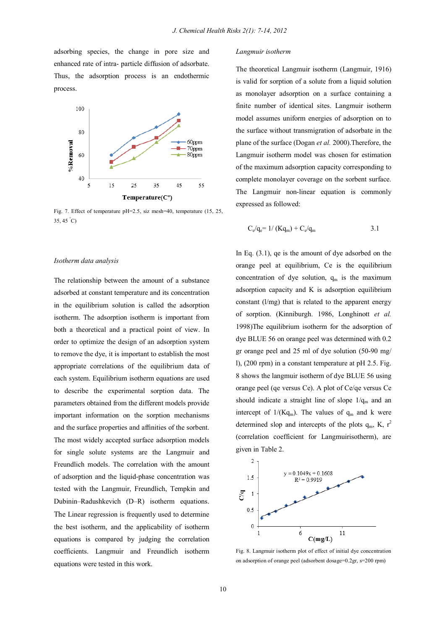adsorbing species, the change in pore size and enhanced rate of intra- particle diffusion of adsorbate. Thus, the adsorption process is an endothermic process.



Fig. 7. Effect of temperature pH=2.5, siz mesh=40, temperature (15, 25, 35, 45 °C)

#### *Isotherm data analysis*

The relationship between the amount of a substance adsorbed at constant temperature and its concentration in the equilibrium solution is called the adsorption isotherm. The adsorption isotherm is important from both a theoretical and a practical point of view. In order to optimize the design of an adsorption system to remove the dye, it is important to establish the most appropriate correlations of the equilibrium data of each system. Equilibrium isotherm equations are used to describe the experimental sorption data. The parameters obtained from the different models provide important information on the sorption mechanisms and the surface properties and affinities of the sorbent. The most widely accepted surface adsorption models for single solute systems are the Langmuir and Freundlich models. The correlation with the amount of adsorption and the liquid-phase concentration was tested with the Langmuir, Freundlich, Tempkin and Dubinin–Radushkevich (D–R) isotherm equations. The Linear regression is frequently used to determine the best isotherm, and the applicability of isotherm equations is compared by judging the correlation coefficients. Langmuir and Freundlich isotherm equations were tested in this work.

#### *Langmuir isotherm*

The theoretical Langmuir isotherm (Langmuir, 1916) is valid for sorption of a solute from a liquid solution as monolayer adsorption on a surface containing a finite number of identical sites. Langmuir isotherm model assumes uniform energies of adsorption on to the surface without transmigration of adsorbate in the plane of the surface (Dogan *et al.* 2000).Therefore, the Langmuir isotherm model was chosen for estimation of the maximum adsorption capacity corresponding to complete monolayer coverage on the sorbent surface. The Langmuir non-linear equation is commonly expressed as followed:

$$
C_e/q_e = 1/(Kq_m) + C_e/q_m
$$
 3.1

In Eq. (3.1), qe is the amount of dye adsorbed on the orange peel at equilibrium, Ce is the equilibrium concentration of dye solution,  $q_m$  is the maximum adsorption capacity and K is adsorption equilibrium constant (l/mg) that is related to the apparent energy of sorption. (Kinniburgh. 1986, Longhinott *et al.* 1998)The equilibrium isotherm for the adsorption of dye BLUE 56 on orange peel was determined with 0.2 gr orange peel and 25 ml of dye solution (50-90 mg/ l), (200 rpm) in a constant temperature at pH 2.5. Fig. 8 shows the langmuir isotherm of dye BLUE 56 using orange peel (qe versus Ce). A plot of Ce/qe versus Ce should indicate a straight line of slope  $1/q_m$  and an intercept of  $1/(Kq_m)$ . The values of  $q_m$  and k were determined slop and intercepts of the plots  $q_m$ , K,  $r^2$ (correlation coefficient for Langmuirisotherm), are given in Table 2.



Fig. 8. Langmuir isotherm plot of effect of initial dye concentration on adsorption of orange peel (adsorbent dosage=0.2gr, s=200 rpm)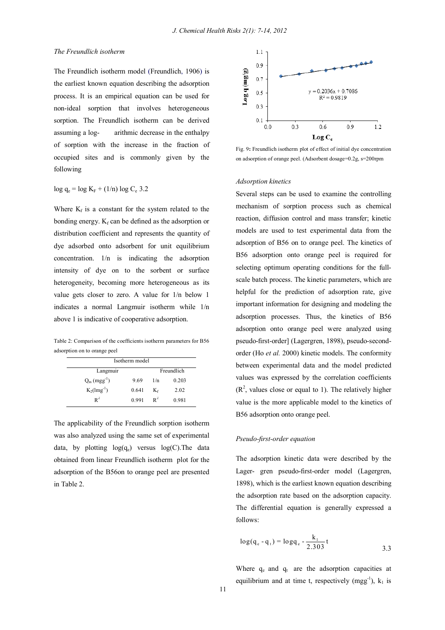## *The Freundlich isotherm*

The Freundlich isotherm model (Freundlich, 1906) is the earliest known equation describing the adsorption process. It is an empirical equation can be used for non-ideal sorption that involves heterogeneous sorption. The Freundlich isotherm can be derived assuming a log- arithmic decrease in the enthalpy of sorption with the increase in the fraction of occupied sites and is commonly given by the following

# $log q_e = log K_F + (1/n) log C_e 3.2$

Where  $K_f$  is a constant for the system related to the bonding energy.  $K_f$  can be defined as the adsorption or distribution coefficient and represents the quantity of dye adsorbed onto adsorbent for unit equilibrium concentration. 1/n is indicating the adsorption intensity of dye on to the sorbent or surface heterogeneity, becoming more heterogeneous as its value gets closer to zero. A value for 1/n below 1 indicates a normal Langmuir isotherm while 1/n above 1 is indicative of cooperative adsorption.

Table 2: Comparison of the coefficients isotherm parameters for B56 adsorption on to orange peel

| Isotherm model   |            |       |       |  |  |  |  |
|------------------|------------|-------|-------|--|--|--|--|
| Langmuir         | Freundlich |       |       |  |  |  |  |
| $Q_m (mgg^{-1})$ | 9.69       | 1/n   | 0.203 |  |  |  |  |
| $K_2(lmg^{-1})$  | 0.641      | Κŕ    | 2.02  |  |  |  |  |
| $\mathbf{R}^2$   | 0.991      | $R^2$ | 0.981 |  |  |  |  |

The applicability of the Freundlich sorption isotherm was also analyzed using the same set of experimental data, by plotting  $log(q_e)$  versus  $log(C)$ . The data obtained from linear Freundlich isotherm plot for the adsorption of the B56on to orange peel are presented in Table 2.



Fig. 9**:** Freundlich isotherm plot of effect of initial dye concentration on adsorption of orange peel. (Adsorbent dosage=0.2g, s=200rpm

#### *Adsorption kinetics*

Several steps can be used to examine the controlling mechanism of sorption process such as chemical reaction, diffusion control and mass transfer; kinetic models are used to test experimental data from the adsorption of B56 on to orange peel. The kinetics of B56 adsorption onto orange peel is required for selecting optimum operating conditions for the fullscale batch process. The kinetic parameters, which are helpful for the prediction of adsorption rate, give important information for designing and modeling the adsorption processes. Thus, the kinetics of B56 adsorption onto orange peel were analyzed using pseudo-first-order] (Lagergren, 1898), pseudo-secondorder (Ho *et al.* 2000) kinetic models. The conformity between experimental data and the model predicted values was expressed by the correlation coefficients  $(R<sup>2</sup>$ , values close or equal to 1). The relatively higher value is the more applicable model to the kinetics of B56 adsorption onto orange peel.

### *Pseudo-first-order equation*

The adsorption kinetic data were described by the Lager- gren pseudo-first-order model (Lagergren, 1898), which is the earliest known equation describing the adsorption rate based on the adsorption capacity. The differential equation is generally expressed a follows:

$$
\log(q_e - q_t) = \log q_e - \frac{k_1}{2.303}t
$$

Where  $q_e$  and  $q_t$  are the adsorption capacities at equilibrium and at time t, respectively  $(mgg^{-1})$ ,  $k_1$  is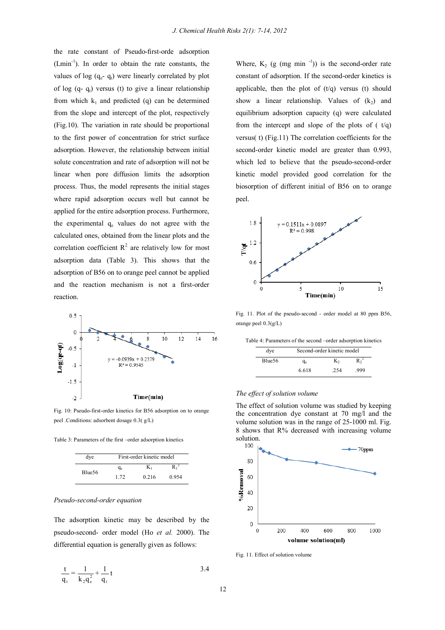the rate constant of Pseudo-first-orde adsorption (Lmin-1 ). In order to obtain the rate constants, the values of log  $(q_e - q_t)$  were linearly correlated by plot of log  $(q - q_t)$  versus (t) to give a linear relationship from which  $k_1$  and predicted (q) can be determined from the slope and intercept of the plot, respectively (Fig.10). The variation in rate should be proportional to the first power of concentration for strict surface adsorption. However, the relationship between initial solute concentration and rate of adsorption will not be linear when pore diffusion limits the adsorption process. Thus, the model represents the initial stages where rapid adsorption occurs well but cannot be applied for the entire adsorption process. Furthermore, the experimental  $q_e$  values do not agree with the calculated ones, obtained from the linear plots and the correlation coefficient  $R^2$  are relatively low for most adsorption data (Table 3). This shows that the adsorption of B56 on to orange peel cannot be applied and the reaction mechanism is not a first-order reaction.



Fig. 10: Pseudo-first-order kinetics for B56 adsorption on to orange peel .Conditions: adsorbent dosage 0.3( g/L)

Table 3: Parameters of the first –order adsorption kinetics

| dye    | First-order kinetic model |       |       |  |  |
|--------|---------------------------|-------|-------|--|--|
| Blue56 | $q_e$                     | K1    |       |  |  |
|        | 1.72                      | 0.216 | 0.954 |  |  |

### *Pseudo-second-order equation*

The adsorption kinetic may be described by the pseudo-second- order model (Ho *et al.* 2000). The differential equation is generally given as follows:

$$
\frac{t}{q_t} = \frac{1}{k_2 q_e^2} + \frac{1}{q_t} t
$$

Where,  $K_2$  (g (mg min<sup>-1</sup>)) is the second-order rate constant of adsorption. If the second-order kinetics is applicable, then the plot of  $(t/q)$  versus (t) should show a linear relationship. Values of  $(k_2)$  and equilibrium adsorption capacity (q) were calculated from the intercept and slope of the plots of  $(vq)$ versus( t) (Fig.11) The correlation coefficients for the second-order kinetic model are greater than 0.993, which led to believe that the pseudo-second-order kinetic model provided good correlation for the biosorption of different initial of B56 on to orange peel.



Fig. 11. Plot of the pseudo-second - order model at 80 ppm B56, orange peel 0.3(g/L)

| Table 4: Parameters of the second –order adsorption kinetics |     |                            |  |  |
|--------------------------------------------------------------|-----|----------------------------|--|--|
|                                                              | dve | Second-order kinetic model |  |  |

#### $R_2^2$  $B$ lue56  $q_e$  K<sub>2</sub> 6.618 .254 .999

### *The effect of solution volume*

The effect of solution volume was studied by keeping the concentration dye constant at 70 mg/l and the volume solution was in the range of 25-1000 ml. Fig. 8 shows that R% decreased with increasing volume



Fig. 11. Effect of solution volume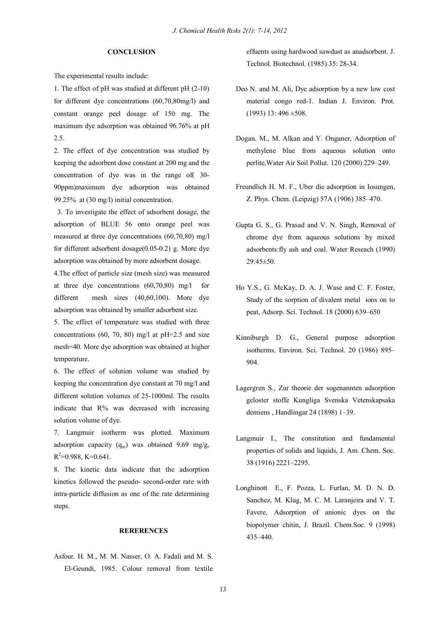## **CONCLUSION**

The experimental results include:

1. The effect of pH was studied at different pH (2-10) for different dye concentrations  $(60, 70, 80$ mg/l) and constant orange peel dosage of 150 mg. The maximum dye adsorption was obtained 96.76% at pH 2.5.

2. The effect of dye concentration was studied by keeping the adsorbent dose constant at 200 mg and the concentration of dye was in the range of( 30- 90ppm)maximum dye adsorption was obtained 99.25% at (30 mg/l) initial concentration.

 3. To investigate the effect of adsorbent dosage, the adsorption of BLUE 56 onto orange peel was measured at three dye concentrations (60,70,80) mg/l for different adsorbent dosage(0.05-0.2) g. More dye adsorption was obtained by more adsorbent dosage. 4.The effect of particle size (mesh size) was measured at three dye concentrations (60,70,80) mg/l for different mesh sizes (40,60,100). More dye adsorption was obtained by smaller adsorbent size.

5. The effect of temperature was studied with three concentrations  $(60, 70, 80)$  mg/l at pH=2.5 and size mesh=40. More dye adsorption was obtained at higher temperature.

6. The effect of solution volume was studied by keeping the concentration dye constant at 70 mg/l and different solution volumes of 25-1000ml. The results indicate that R% was decreased with increasing solution volume of dye.

7. Langmuir isotherm was plotted. Maximum adsorption capacity  $(q_m)$  was obtained 9.69 mg/g,  $R^2=0.988, K=0.641.$ 

8. The kinetic data indicate that the adsorption kinetics followed the pseudo- second-order rate with intra-particle diffusion as one of the rate determining steps.

# **RERERENCES**

Asfour. H. M., M. M. Nasser, O. A. Fadali and M. S. El-Geundi, 1985. Colour removal from textile effuents using hardwood sawdust as anadsorbent. J. Technol. Biotechnol. (1985) 35: 28-34.

- Deo N. and M. Ali, Dye adsorption by a new low cost material congo red-1. Indian J. Environ. Prot.  $(1993)$  13: 496  $\pm$ 508.
- Dogan. M., M. Alkan and Y. Onganer, Adsorption of methylene blue from aqueous solution onto perlite,Water Air Soil Pollut. 120 (2000) 229–249.
- Freundlich H. M. F., Uber die adsorption in Iosungen, Z. Phys. Chem. (Leipzig) 57A (1906) 385–470.
- Gupta G. S., G. Prasad and V. N. Singh, Removal of chrome dye from aqueous solutions by mixed adsorbents:fly ash and coal. Water Reseach (1990) 29:45±50.
- Ho Y.S., G. McKay, D. A. J. Wase and C. F. Foster, Study of the sorption of divalent metal ions on to peat, Adsorp. Sci. Technol. 18 (2000) 639–650
- Kinniburgh D. G., General purpose adsorption isotherms, Environ. Sci. Technol. 20 (1986) 895– 904.
- Lagergren S., Zur theorie der sogenannten adsorption geloster stoffe Kungliga Svenska Vetenskapsaka demiens , Handlingar 24 (1898) 1–39.
- Langmuir I., The constitution and fundamental properties of solids and liquids, J. Am. Chem. Soc. 38 (1916) 2221–2295.
- Longhinott E., F. Pozza, L. Furlan, M. D. N. D. Sanchez, M. Klug, M. C. M. Laranjeira and V. T. Favere, Adsorption of anionic dyes on the biopolymer chitin, J. Brazil. Chem.Soc. 9 (1998) 435–440.